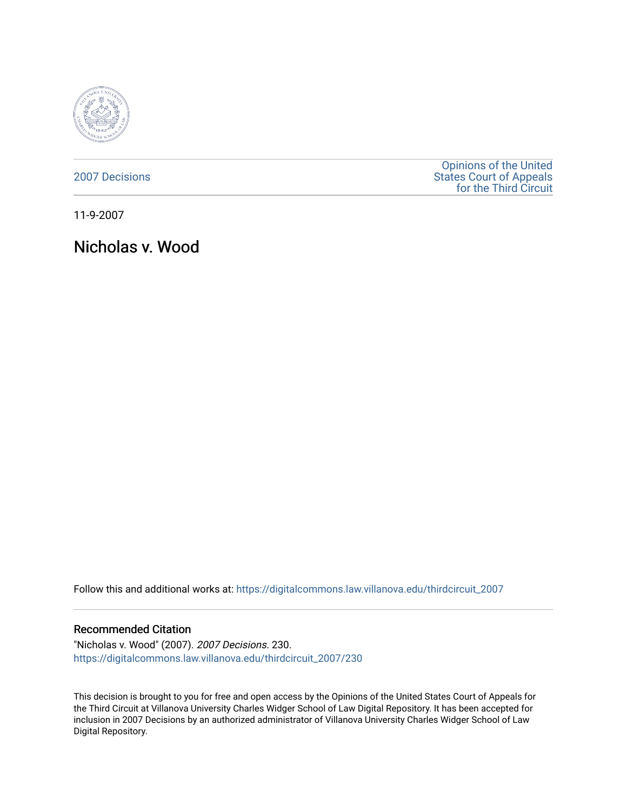

[2007 Decisions](https://digitalcommons.law.villanova.edu/thirdcircuit_2007)

[Opinions of the United](https://digitalcommons.law.villanova.edu/thirdcircuit)  [States Court of Appeals](https://digitalcommons.law.villanova.edu/thirdcircuit)  [for the Third Circuit](https://digitalcommons.law.villanova.edu/thirdcircuit) 

11-9-2007

Nicholas v. Wood

Follow this and additional works at: [https://digitalcommons.law.villanova.edu/thirdcircuit\\_2007](https://digitalcommons.law.villanova.edu/thirdcircuit_2007?utm_source=digitalcommons.law.villanova.edu%2Fthirdcircuit_2007%2F230&utm_medium=PDF&utm_campaign=PDFCoverPages) 

## Recommended Citation

"Nicholas v. Wood" (2007). 2007 Decisions. 230. [https://digitalcommons.law.villanova.edu/thirdcircuit\\_2007/230](https://digitalcommons.law.villanova.edu/thirdcircuit_2007/230?utm_source=digitalcommons.law.villanova.edu%2Fthirdcircuit_2007%2F230&utm_medium=PDF&utm_campaign=PDFCoverPages)

This decision is brought to you for free and open access by the Opinions of the United States Court of Appeals for the Third Circuit at Villanova University Charles Widger School of Law Digital Repository. It has been accepted for inclusion in 2007 Decisions by an authorized administrator of Villanova University Charles Widger School of Law Digital Repository.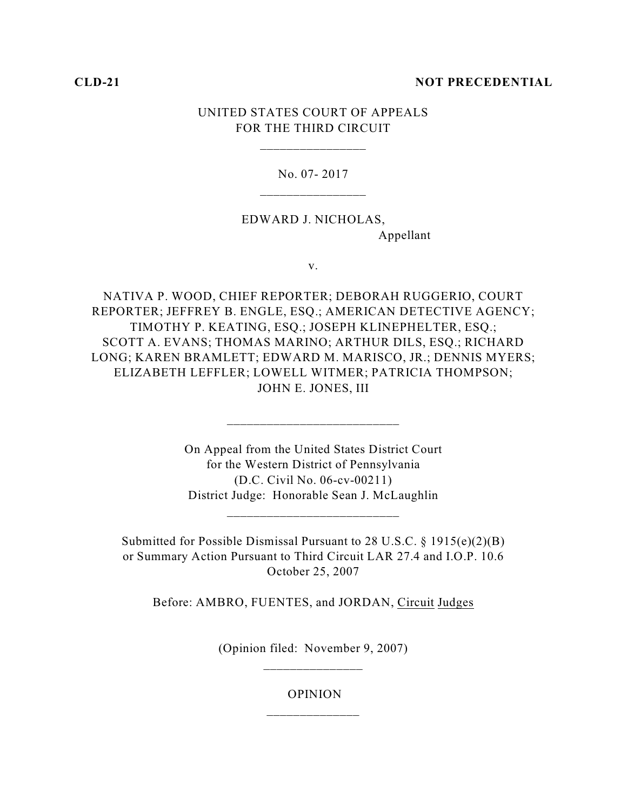## **CLD-21 NOT PRECEDENTIAL**

# UNITED STATES COURT OF APPEALS FOR THE THIRD CIRCUIT

\_\_\_\_\_\_\_\_\_\_\_\_\_\_\_\_

No. 07- 2017

EDWARD J. NICHOLAS, Appellant

v.

NATIVA P. WOOD, CHIEF REPORTER; DEBORAH RUGGERIO, COURT REPORTER; JEFFREY B. ENGLE, ESQ.; AMERICAN DETECTIVE AGENCY; TIMOTHY P. KEATING, ESQ.; JOSEPH KLINEPHELTER, ESQ.; SCOTT A. EVANS; THOMAS MARINO; ARTHUR DILS, ESQ.; RICHARD LONG; KAREN BRAMLETT; EDWARD M. MARISCO, JR.; DENNIS MYERS; ELIZABETH LEFFLER; LOWELL WITMER; PATRICIA THOMPSON; JOHN E. JONES, III

> On Appeal from the United States District Court for the Western District of Pennsylvania (D.C. Civil No. 06-cv-00211) District Judge: Honorable Sean J. McLaughlin

> > \_\_\_\_\_\_\_\_\_\_\_\_\_\_\_\_\_\_\_\_\_\_\_\_\_\_

\_\_\_\_\_\_\_\_\_\_\_\_\_\_\_\_\_\_\_\_\_\_\_\_\_\_

Submitted for Possible Dismissal Pursuant to 28 U.S.C. § 1915(e)(2)(B) or Summary Action Pursuant to Third Circuit LAR 27.4 and I.O.P. 10.6 October 25, 2007

Before: AMBRO, FUENTES, and JORDAN, Circuit Judges

(Opinion filed: November 9, 2007) \_\_\_\_\_\_\_\_\_\_\_\_\_\_\_

> OPINION \_\_\_\_\_\_\_\_\_\_\_\_\_\_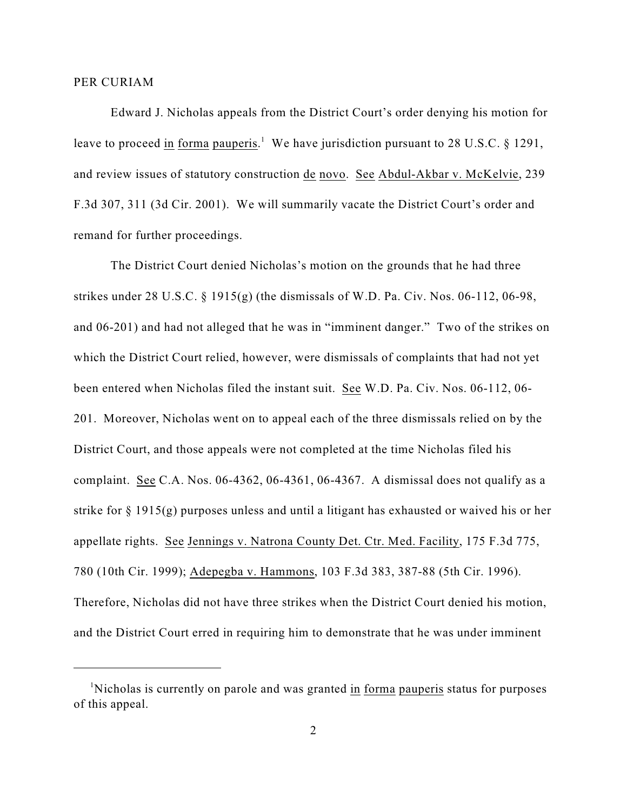### PER CURIAM

Edward J. Nicholas appeals from the District Court's order denying his motion for leave to proceed in forma pauperis.<sup>1</sup> We have jurisdiction pursuant to 28 U.S.C. § 1291, and review issues of statutory construction de novo. See Abdul-Akbar v. McKelvie, 239 F.3d 307, 311 (3d Cir. 2001). We will summarily vacate the District Court's order and remand for further proceedings.

The District Court denied Nicholas's motion on the grounds that he had three strikes under 28 U.S.C. § 1915(g) (the dismissals of W.D. Pa. Civ. Nos. 06-112, 06-98, and 06-201) and had not alleged that he was in "imminent danger." Two of the strikes on which the District Court relied, however, were dismissals of complaints that had not yet been entered when Nicholas filed the instant suit. See W.D. Pa. Civ. Nos. 06-112, 06- 201. Moreover, Nicholas went on to appeal each of the three dismissals relied on by the District Court, and those appeals were not completed at the time Nicholas filed his complaint. See C.A. Nos. 06-4362, 06-4361, 06-4367. A dismissal does not qualify as a strike for  $\S 1915(g)$  purposes unless and until a litigant has exhausted or waived his or her appellate rights. See Jennings v. Natrona County Det. Ctr. Med. Facility, 175 F.3d 775, 780 (10th Cir. 1999); Adepegba v. Hammons, 103 F.3d 383, 387-88 (5th Cir. 1996). Therefore, Nicholas did not have three strikes when the District Court denied his motion, and the District Court erred in requiring him to demonstrate that he was under imminent

<sup>&</sup>lt;sup>1</sup>Nicholas is currently on parole and was granted in forma pauperis status for purposes of this appeal.